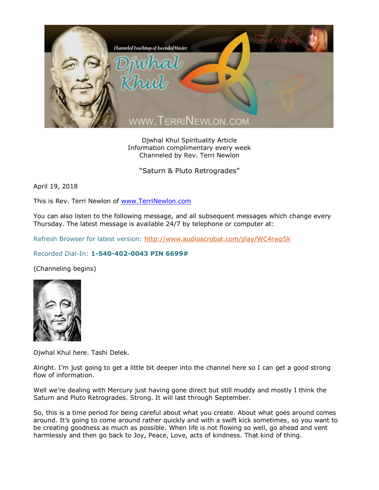

Djwhal Khul Spirituality Article Information complimentary every week Channeled by Rev. Terri Newlon

"Saturn & Pluto Retrogrades"

April 19, 2018

This is Rev. Terri Newlon of [www.TerriNewlon.com](http://www.terrinewlon.com/)

You can also listen to the following message, and all subsequent messages which change every Thursday. The latest message is available 24/7 by telephone or computer at:

Refresh Browser for latest version:<http://www.audioacrobat.com/play/WC4rwp5k>

## Recorded Dial-In: **1-540-402-0043 PIN 6699#**

(Channeling begins)



Djwhal Khul here. Tashi Delek.

Alright. I'm just going to get a little bit deeper into the channel here so I can get a good strong flow of information.

Well we're dealing with Mercury just having gone direct but still muddy and mostly I think the Saturn and Pluto Retrogrades. Strong. It will last through September.

So, this is a time period for being careful about what you create. About what goes around comes around. It's going to come around rather quickly and with a swift kick sometimes, so you want to be creating goodness as much as possible. When life is not flowing so well, go ahead and vent harmlessly and then go back to Joy, Peace, Love, acts of kindness. That kind of thing.